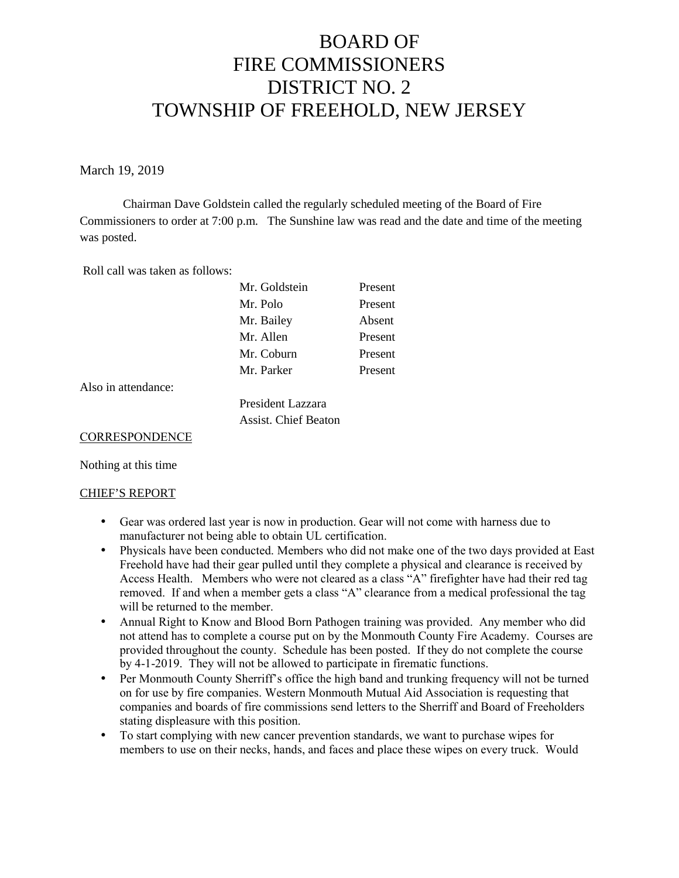# BOARD OF FIRE COMMISSIONERS DISTRICT NO. 2 TOWNSHIP OF FREEHOLD, NEW JERSEY

March 19, 2019

Chairman Dave Goldstein called the regularly scheduled meeting of the Board of Fire Commissioners to order at 7:00 p.m. The Sunshine law was read and the date and time of the meeting was posted.

Roll call was taken as follows:

|                     | Mr. Goldstein               | Present |  |
|---------------------|-----------------------------|---------|--|
|                     | Mr. Polo                    | Present |  |
|                     | Mr. Bailey                  | Absent  |  |
|                     | Mr. Allen                   | Present |  |
|                     | Mr. Coburn                  | Present |  |
|                     | Mr. Parker                  | Present |  |
| Also in attendance: |                             |         |  |
|                     | President Lazzara           |         |  |
|                     | <b>Assist.</b> Chief Beaton |         |  |

#### **CORRESPONDENCE**

Nothing at this time

#### CHIEF'S REPORT

- Gear was ordered last year is now in production. Gear will not come with harness due to manufacturer not being able to obtain UL certification.
- Physicals have been conducted. Members who did not make one of the two days provided at East Freehold have had their gear pulled until they complete a physical and clearance is received by Access Health. Members who were not cleared as a class "A" firefighter have had their red tag removed. If and when a member gets a class "A" clearance from a medical professional the tag will be returned to the member.
- Annual Right to Know and Blood Born Pathogen training was provided. Any member who did not attend has to complete a course put on by the Monmouth County Fire Academy. Courses are provided throughout the county. Schedule has been posted. If they do not complete the course by 4-1-2019. They will not be allowed to participate in firematic functions.
- Per Monmouth County Sherriff's office the high band and trunking frequency will not be turned on for use by fire companies. Western Monmouth Mutual Aid Association is requesting that companies and boards of fire commissions send letters to the Sherriff and Board of Freeholders stating displeasure with this position.
- To start complying with new cancer prevention standards, we want to purchase wipes for members to use on their necks, hands, and faces and place these wipes on every truck. Would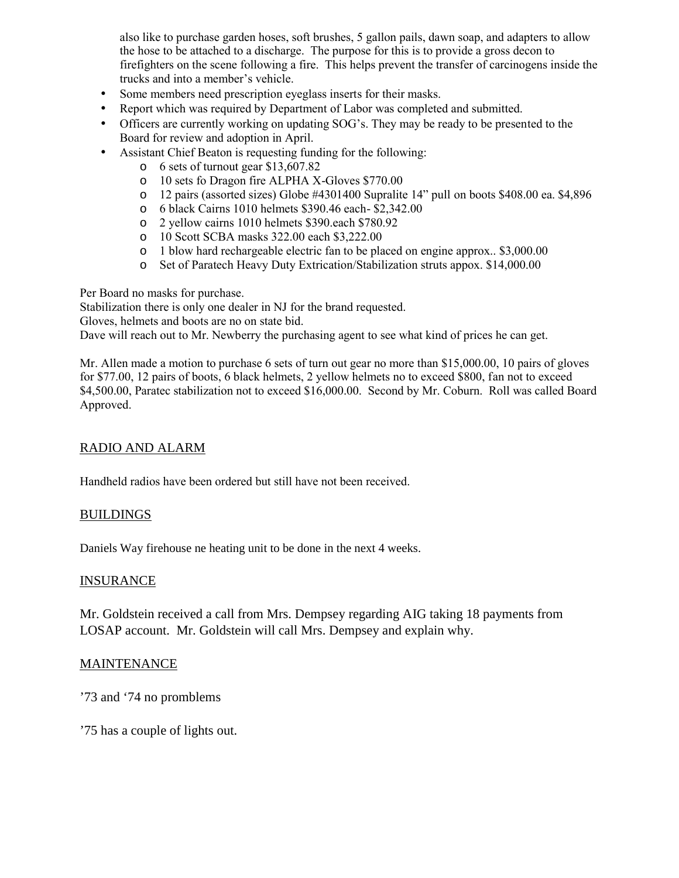also like to purchase garden hoses, soft brushes, 5 gallon pails, dawn soap, and adapters to allow the hose to be attached to a discharge. The purpose for this is to provide a gross decon to firefighters on the scene following a fire. This helps prevent the transfer of carcinogens inside the trucks and into a member's vehicle.

- Some members need prescription eyeglass inserts for their masks.
- Report which was required by Department of Labor was completed and submitted.
- Officers are currently working on updating SOG's. They may be ready to be presented to the Board for review and adoption in April.
- Assistant Chief Beaton is requesting funding for the following:
	- o 6 sets of turnout gear \$13,607.82
	- o 10 sets fo Dragon fire ALPHA X-Gloves \$770.00
	- o 12 pairs (assorted sizes) Globe #4301400 Supralite 14" pull on boots \$408.00 ea. \$4,896
	- o 6 black Cairns 1010 helmets \$390.46 each- \$2,342.00
	- o 2 yellow cairns 1010 helmets \$390.each \$780.92
	- o 10 Scott SCBA masks 322.00 each \$3,222.00
	- o 1 blow hard rechargeable electric fan to be placed on engine approx.. \$3,000.00
	- o Set of Paratech Heavy Duty Extrication/Stabilization struts appox. \$14,000.00

Per Board no masks for purchase.

Stabilization there is only one dealer in NJ for the brand requested.

Gloves, helmets and boots are no on state bid.

Dave will reach out to Mr. Newberry the purchasing agent to see what kind of prices he can get.

Mr. Allen made a motion to purchase 6 sets of turn out gear no more than \$15,000.00, 10 pairs of gloves for \$77.00, 12 pairs of boots, 6 black helmets, 2 yellow helmets no to exceed \$800, fan not to exceed \$4,500.00, Paratec stabilization not to exceed \$16,000.00. Second by Mr. Coburn. Roll was called Board Approved.

## RADIO AND ALARM

Handheld radios have been ordered but still have not been received.

## **BUILDINGS**

Daniels Way firehouse ne heating unit to be done in the next 4 weeks.

## INSURANCE

Mr. Goldstein received a call from Mrs. Dempsey regarding AIG taking 18 payments from LOSAP account. Mr. Goldstein will call Mrs. Dempsey and explain why.

## **MAINTENANCE**

'73 and '74 no promblems

'75 has a couple of lights out.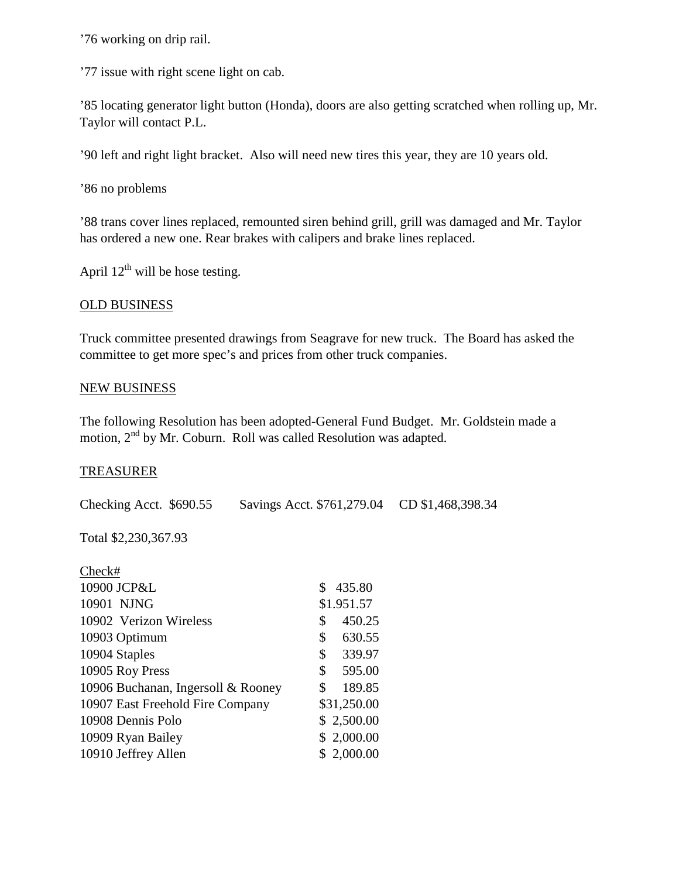'76 working on drip rail.

'77 issue with right scene light on cab.

'85 locating generator light button (Honda), doors are also getting scratched when rolling up, Mr. Taylor will contact P.L.

'90 left and right light bracket. Also will need new tires this year, they are 10 years old.

'86 no problems

'88 trans cover lines replaced, remounted siren behind grill, grill was damaged and Mr. Taylor has ordered a new one. Rear brakes with calipers and brake lines replaced.

April  $12^{th}$  will be hose testing.

## OLD BUSINESS

Truck committee presented drawings from Seagrave for new truck. The Board has asked the committee to get more spec's and prices from other truck companies.

## NEW BUSINESS

The following Resolution has been adopted-General Fund Budget. Mr. Goldstein made a motion, 2<sup>nd</sup> by Mr. Coburn. Roll was called Resolution was adapted.

## **TREASURER**

| Checking Acct. \$690.55 | Savings Acct. \$761,279.04 CD \$1,468,398.34 |  |
|-------------------------|----------------------------------------------|--|
|                         |                                              |  |

Total \$2,230,367.93

| Check#                             |              |
|------------------------------------|--------------|
| 10900 JCP&L                        | 435.80       |
| 10901 NJNG                         | \$1.951.57   |
| 10902 Verizon Wireless             | 450.25<br>\$ |
| 10903 Optimum                      | 630.55<br>\$ |
| 10904 Staples                      | 339.97<br>\$ |
| 10905 Roy Press                    | \$<br>595.00 |
| 10906 Buchanan, Ingersoll & Rooney | 189.85<br>\$ |
| 10907 East Freehold Fire Company   | \$31,250.00  |
| 10908 Dennis Polo                  | \$2,500.00   |
| 10909 Ryan Bailey                  | \$2,000.00   |
| 10910 Jeffrey Allen                | \$2,000.00   |
|                                    |              |